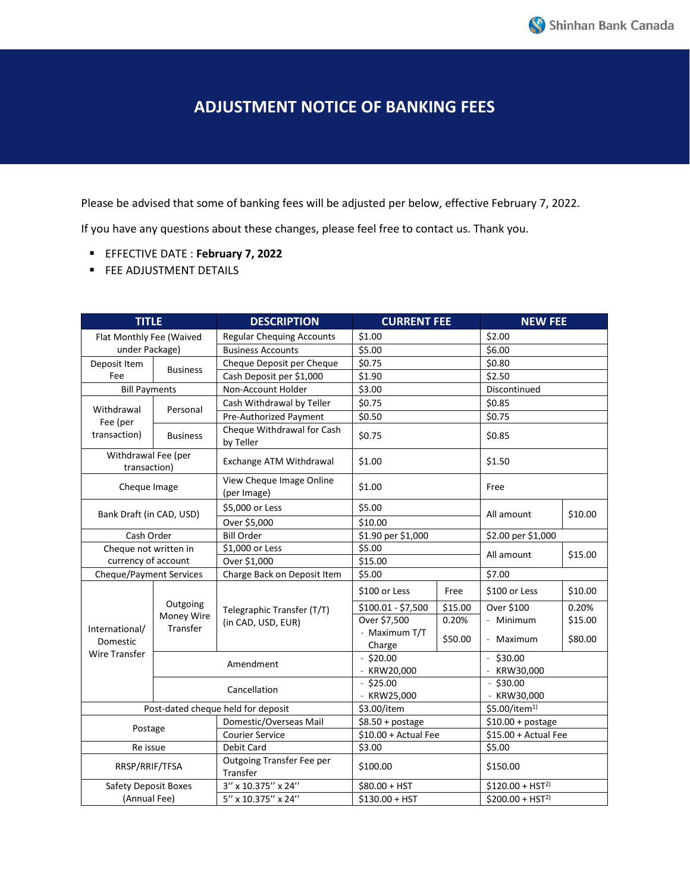## **ADJUSTMENT NOTICE OF BANKING FEES**

Please be advised that some of banking fees will be adjusted per below, effective February 7, 2022.

If you have any questions about these changes, please feel free to contact us. Thank you.

- EFFECTIVE DATE : **February 7, 2022**
- **FEE ADJUSTMENT DETAILS**

| <b>TITLE</b>                                       |                                    | <b>DESCRIPTION</b>                               | <b>CURRENT FEE</b>      |         | <b>NEW FEE</b>            |         |
|----------------------------------------------------|------------------------------------|--------------------------------------------------|-------------------------|---------|---------------------------|---------|
| Flat Monthly Fee (Waived                           |                                    | <b>Regular Chequing Accounts</b>                 | \$1.00                  |         | \$2.00                    |         |
| under Package)                                     |                                    | <b>Business Accounts</b>                         | \$5.00                  |         | \$6.00                    |         |
| Deposit Item<br>Fee                                | <b>Business</b>                    | Cheque Deposit per Cheque                        | \$0.75                  |         | \$0.80                    |         |
|                                                    |                                    | Cash Deposit per \$1,000                         | \$1.90                  |         | \$2.50                    |         |
| <b>Bill Payments</b>                               |                                    | Non-Account Holder                               | \$3.00                  |         | Discontinued              |         |
| Withdrawal<br>Fee (per<br>transaction)             | Personal                           | Cash Withdrawal by Teller                        | \$0.75                  |         | \$0.85                    |         |
|                                                    |                                    | Pre-Authorized Payment                           | \$0.50                  |         | \$0.75                    |         |
|                                                    | <b>Business</b>                    | Cheque Withdrawal for Cash<br>by Teller          | \$0.75                  |         | \$0.85                    |         |
| Withdrawal Fee (per<br>transaction)                |                                    | Exchange ATM Withdrawal                          | \$1.00                  |         | \$1.50                    |         |
| Cheque Image                                       |                                    | View Cheque Image Online<br>(per Image)          | \$1.00                  |         | Free                      |         |
| Bank Draft (in CAD, USD)                           |                                    | \$5,000 or Less                                  | \$5.00<br>\$10.00       |         | All amount                | \$10.00 |
|                                                    |                                    | Over \$5,000                                     |                         |         |                           |         |
| Cash Order                                         |                                    | <b>Bill Order</b>                                | \$1.90 per \$1,000      |         | \$2.00 per \$1,000        |         |
| Cheque not written in                              |                                    | \$1,000 or Less                                  | \$5.00                  |         | All amount                | \$15.00 |
| currency of account                                |                                    | Over \$1,000                                     | \$15.00                 |         |                           |         |
| <b>Cheque/Payment Services</b>                     |                                    | Charge Back on Deposit Item                      | \$5.00                  |         | \$7.00                    |         |
| International/<br>Domestic<br><b>Wire Transfer</b> | Outgoing<br>Money Wire<br>Transfer | Telegraphic Transfer (T/T)<br>(in CAD, USD, EUR) | \$100 or Less           | Free    | \$100 or Less             | \$10.00 |
|                                                    |                                    |                                                  | \$100.01 - \$7,500      | \$15.00 | Over \$100                | 0.20%   |
|                                                    |                                    |                                                  | Over \$7,500            | 0.20%   | - Minimum                 | \$15.00 |
|                                                    |                                    |                                                  | - Maximum T/T<br>Charge | \$50.00 | Maximum                   | \$80.00 |
|                                                    |                                    | Amendment                                        | $-$ \$20.00             |         | \$30.00                   |         |
|                                                    |                                    |                                                  | - KRW20,000             |         | KRW30,000                 |         |
|                                                    |                                    | Cancellation                                     | $-$ \$25.00             |         | $-$ \$30.00               |         |
|                                                    |                                    |                                                  | - KRW25,000             |         | - KRW30,000               |         |
| Post-dated cheque held for deposit                 |                                    |                                                  | \$3.00/item             |         | \$5.00/item <sup>1)</sup> |         |
| Postage                                            |                                    | Domestic/Overseas Mail                           | $$8.50 + postage$       |         | $$10.00 + postage$        |         |
|                                                    |                                    | Courier Service                                  | $$10.00 + Actual$ Fee   |         | $$15.00 + Actual$ Fee     |         |
| Re issue                                           |                                    | Debit Card                                       | \$3.00                  |         | \$5.00                    |         |
| RRSP/RRIF/TFSA                                     |                                    | Outgoing Transfer Fee per<br>Transfer            | \$100.00                |         | \$150.00                  |         |
| Safety Deposit Boxes                               |                                    | 3" x 10.375" x 24"                               | \$80.00 + HST           |         | $$120.00 + HST2$          |         |
| (Annual Fee)                                       |                                    | 5" x 10.375" x 24"                               | \$130.00 + HST          |         | $$200.00 + HST2$          |         |